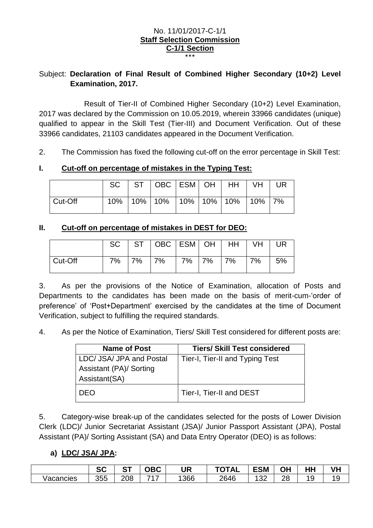#### No. 11/01/2017-C-1/1 **Staff Selection Commission C-1/1 Section** \*\*\*

# Subject: **Declaration of Final Result of Combined Higher Secondary (10+2) Level Examination, 2017.**

Result of Tier-II of Combined Higher Secondary (10+2) Level Examination, 2017 was declared by the Commission on 10.05.2019, wherein 33966 candidates (unique) qualified to appear in the Skill Test (Tier-III) and Document Verification. Out of these 33966 candidates, 21103 candidates appeared in the Document Verification.

2. The Commission has fixed the following cut-off on the error percentage in Skill Test:

### **I. Cut-off on percentage of mistakes in the Typing Test:**

|         |  | SC   ST   OBC   ESM   OH                     |  | HH   VH | UR |
|---------|--|----------------------------------------------|--|---------|----|
| Cut-Off |  | 10%   10%   10%   10%   10%   10%   10%   7% |  |         |    |

## **II. Cut-off on percentage of mistakes in DEST for DEO:**

|         | <b>SC</b> |    | ST   OBC   ESM   OH   HH |       |     | VH | <b>UR</b> |
|---------|-----------|----|--------------------------|-------|-----|----|-----------|
| Cut-Off | 7%        | 7% | 7%                       | 7% 7% | 17% | 7% | 5%        |

3. As per the provisions of the Notice of Examination, allocation of Posts and Departments to the candidates has been made on the basis of merit-cum-'order of preference' of 'Post+Department' exercised by the candidates at the time of Document Verification, subject to fulfilling the required standards.

4. As per the Notice of Examination, Tiers/ Skill Test considered for different posts are:

| <b>Name of Post</b>      | <b>Tiers/ Skill Test considered</b> |
|--------------------------|-------------------------------------|
| LDC/ JSA/ JPA and Postal | Tier-I, Tier-II and Typing Test     |
| Assistant (PA)/ Sorting  |                                     |
| Assistant(SA)            |                                     |
| <b>DEO</b>               | Tier-I, Tier-II and DEST            |

5. Category-wise break-up of the candidates selected for the posts of Lower Division Clerk (LDC)/ Junior Secretariat Assistant (JSA)/ Junior Passport Assistant (JPA), Postal Assistant (PA)/ Sorting Assistant (SA) and Data Entry Operator (DEO) is as follows:

# **a) LDC/ JSA/ JPA:**

|           | ົິ<br>5U | $\sim$ $\sim$<br>o | $\sim$ n $\sim$<br>JBL .                   | <b>UR</b> | <b>TOTAL</b> | <b>ESM</b>     | ОH | பப<br>пп                      | VH<br>7Π. |
|-----------|----------|--------------------|--------------------------------------------|-----------|--------------|----------------|----|-------------------------------|-----------|
| Vacancies | 355      | 208                | $\overline{z}$<br>$\overline{\phantom{a}}$ | 1366      | 2646         | $\Omega$<br>◡▵ | 28 | ╭<br>$\overline{\phantom{a}}$ | ت .       |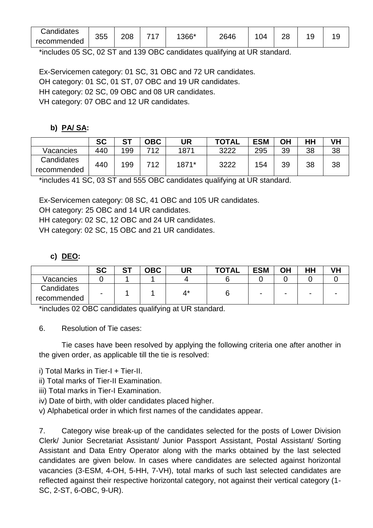| Candidates  | 355 | 208 | 717 | 1366* | 2646 | 04 | ററ |   |   |
|-------------|-----|-----|-----|-------|------|----|----|---|---|
| recommended |     |     |     |       |      |    | ∠⊂ | v | w |

\*includes 05 SC, 02 ST and 139 OBC candidates qualifying at UR standard.

Ex-Servicemen category: 01 SC, 31 OBC and 72 UR candidates.

OH category: 01 SC, 01 ST, 07 OBC and 19 UR candidates.

HH category: 02 SC, 09 OBC and 08 UR candidates.

VH category: 07 OBC and 12 UR candidates.

### **b) PA/ SA:**

|             | <b>SC</b> | cт  | <b>OBC</b> | UR    | <b>TOTAL</b> | <b>ESM</b> | ΟH | HH | VH |
|-------------|-----------|-----|------------|-------|--------------|------------|----|----|----|
| Vacancies   | 440       | 199 | 712        | 1871  | 3222         | 295        | 39 | 38 | 38 |
| Candidates  |           |     | 712        |       |              |            |    |    |    |
| recommended | 440       | 199 |            | 1871* | 3222         | 154        | 39 | 38 | 38 |

\*includes 41 SC, 03 ST and 555 OBC candidates qualifying at UR standard.

Ex-Servicemen category: 08 SC, 41 OBC and 105 UR candidates.

OH category: 25 OBC and 14 UR candidates.

HH category: 02 SC, 12 OBC and 24 UR candidates.

VH category: 02 SC, 15 OBC and 21 UR candidates.

### **c) DEO:**

|                           | <b>SC</b>                | cт | <b>OBC</b> | UR | TOTAL | <b>ESM</b> | ΟH | ΗН |  |
|---------------------------|--------------------------|----|------------|----|-------|------------|----|----|--|
| Vacancies                 |                          |    |            |    |       |            |    |    |  |
| Candidates<br>recommended | $\overline{\phantom{a}}$ |    |            | 4* | O     |            |    |    |  |

\*includes 02 OBC candidates qualifying at UR standard.

6. Resolution of Tie cases:

Tie cases have been resolved by applying the following criteria one after another in the given order, as applicable till the tie is resolved:

i) Total Marks in Tier-I + Tier-II.

- ii) Total marks of Tier-II Examination.
- iii) Total marks in Tier-I Examination.
- iv) Date of birth, with older candidates placed higher.
- v) Alphabetical order in which first names of the candidates appear.

7. Category wise break-up of the candidates selected for the posts of Lower Division Clerk/ Junior Secretariat Assistant/ Junior Passport Assistant, Postal Assistant/ Sorting Assistant and Data Entry Operator along with the marks obtained by the last selected candidates are given below. In cases where candidates are selected against horizontal vacancies (3-ESM, 4-OH, 5-HH, 7-VH), total marks of such last selected candidates are reflected against their respective horizontal category, not against their vertical category (1- SC, 2-ST, 6-OBC, 9-UR).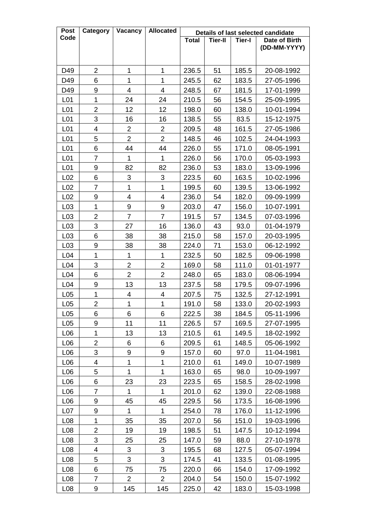| <b>Post</b>      | Category       | Vacancy        | <b>Allocated</b>         |              |         |               | Details of last selected candidate |
|------------------|----------------|----------------|--------------------------|--------------|---------|---------------|------------------------------------|
| Code             |                |                |                          | <b>Total</b> | Tier-II | <b>Tier-I</b> | Date of Birth                      |
|                  |                |                |                          |              |         |               | (DD-MM-YYYY)                       |
|                  |                |                |                          |              |         |               |                                    |
| D49              | $\overline{2}$ | 1              | 1                        | 236.5        | 51      | 185.5         | 20-08-1992                         |
| D49              | 6              | 1              | 1                        | 245.5        | 62      | 183.5         | 27-05-1996                         |
| D49              | 9              | 4              | 4                        | 248.5        | 67      | 181.5         | 17-01-1999                         |
| L <sub>01</sub>  | 1              | 24             | 24                       | 210.5        | 56      | 154.5         | 25-09-1995                         |
| L01              | 2              | 12             | 12                       | 198.0        | 60      | 138.0         | 10-01-1994                         |
| L01              | 3              | 16             | 16                       | 138.5        | 55      | 83.5          | 15-12-1975                         |
| L <sub>01</sub>  | 4              | 2              | $\overline{2}$           | 209.5        | 48      | 161.5         | 27-05-1986                         |
| L01              | 5              | $\overline{2}$ | $\overline{2}$           | 148.5        | 46      | 102.5         | 24-04-1993                         |
| L <sub>01</sub>  | 6              | 44             | 44                       | 226.0        | 55      | 171.0         | 08-05-1991                         |
| L01              | 7              | 1              | 1                        | 226.0        | 56      | 170.0         | 05-03-1993                         |
| L <sub>01</sub>  | 9              | 82             | 82                       | 236.0        | 53      | 183.0         | 13-09-1996                         |
| L <sub>02</sub>  | 6              | 3              | 3                        | 223.5        | 60      | 163.5         | 10-02-1996                         |
| L <sub>02</sub>  | $\overline{7}$ | 1              | $\overline{1}$           | 199.5        | 60      | 139.5         | 13-06-1992                         |
| L <sub>02</sub>  | 9              | 4              | $\overline{\mathcal{A}}$ | 236.0        | 54      | 182.0         | 09-09-1999                         |
| L <sub>03</sub>  | 1              | 9              | 9                        | 203.0        | 47      | 156.0         | 10-07-1991                         |
| L <sub>03</sub>  | 2              | $\overline{7}$ | $\overline{7}$           | 191.5        | 57      | 134.5         | 07-03-1996                         |
| L03              | 3              | 27             | 16                       | 136.0        | 43      | 93.0          | 01-04-1979                         |
| L <sub>03</sub>  | 6              | 38             | 38                       | 215.0        | 58      | 157.0         | 20-03-1995                         |
| L <sub>03</sub>  | 9              | 38             | 38                       | 224.0        | 71      | 153.0         | 06-12-1992                         |
| L <sub>04</sub>  | $\mathbf 1$    | 1              | $\mathbf{1}$             | 232.5        | 50      | 182.5         | 09-06-1998                         |
| L <sub>04</sub>  | 3              | 2              | $\overline{2}$           | 169.0        | 58      | 111.0         | 01-01-1977                         |
| L <sub>04</sub>  | 6              | $\overline{2}$ | $\overline{2}$           | 248.0        | 65      | 183.0         | 08-06-1994                         |
| L <sub>04</sub>  | 9              | 13             | 13                       | 237.5        | 58      | 179.5         | 09-07-1996                         |
| L <sub>05</sub>  | 1              | 4              | 4                        | 207.5        | 75      | 132.5         | 27-12-1991                         |
| L <sub>05</sub>  | $\overline{2}$ | 1              | $\mathbf{1}$             | 191.0        | 58      | 133.0         | 20-02-1993                         |
| L <sub>05</sub>  | 6              | 6              | 6                        | 222.5        | 38      | 184.5         | 05-11-1996                         |
| L <sub>05</sub>  | 9              | 11             | 11                       | 226.5        | 57      | 169.5         | 27-07-1995                         |
| L <sub>06</sub>  | 1              | 13             | 13                       | 210.5        | 61      | 149.5         | 18-02-1992                         |
| L06              | 2              | 6              | 6                        | 209.5        | 61      | 148.5         | 05-06-1992                         |
| L06              | 3              | 9              | 9                        | 157.0        | 60      | 97.0          | 11-04-1981                         |
| L <sub>06</sub>  | 4              | 1              | $\mathbf 1$              | 210.0        | 61      | 149.0         | 10-07-1989                         |
| L06              | 5              | $\mathbf 1$    | $\mathbf{1}$             | 163.0        | 65      | 98.0          | 10-09-1997                         |
| L06              | 6              | 23             | 23                       | 223.5        | 65      | 158.5         | 28-02-1998                         |
| L06              | 7              | 1              | 1                        | 201.0        | 62      | 139.0         | 22-08-1988                         |
| L06              | 9              | 45             | 45                       | 229.5        | 56      | 173.5         | 16-08-1996                         |
| L07              | 9              | 1              | 1                        | 254.0        | 78      | 176.0         | 11-12-1996                         |
| L <sub>08</sub>  | 1              | 35             | 35                       | 207.0        | 56      | 151.0         | 19-03-1996                         |
| L <sub>08</sub>  | $\overline{2}$ | 19             | 19                       | 198.5        | 51      | 147.5         | 10-12-1994                         |
| L <sub>08</sub>  | 3              | 25             | 25                       | 147.0        | 59      | 88.0          | 27-10-1978                         |
| L <sub>08</sub>  | 4              | 3              | 3                        | 195.5        | 68      | 127.5         | 05-07-1994                         |
| L <sub>0</sub> 8 | 5              | 3              | 3                        | 174.5        | 41      | 133.5         | 01-08-1995                         |
| L <sub>08</sub>  | 6              | 75             | 75                       | 220.0        | 66      | 154.0         | 17-09-1992                         |
| L <sub>08</sub>  | 7              | $\overline{2}$ | $\overline{2}$           | 204.0        | 54      | 150.0         | 15-07-1992                         |
| L <sub>08</sub>  | 9              | 145            | 145                      | 225.0        | 42      | 183.0         | 15-03-1998                         |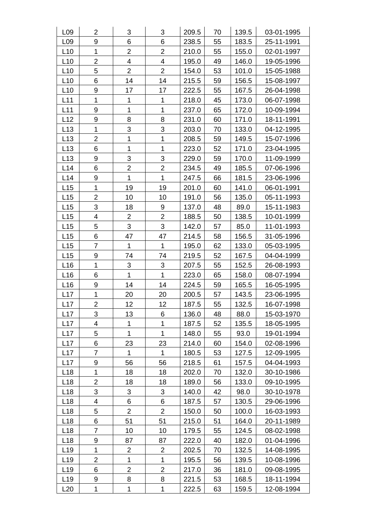| L09             | $\overline{2}$ | 3                       | 3              | 209.5 | 70 | 139.5 | 03-01-1995 |
|-----------------|----------------|-------------------------|----------------|-------|----|-------|------------|
| L <sub>09</sub> | 9              | 6                       | 6              | 238.5 | 55 | 183.5 | 25-11-1991 |
| L10             | $\mathbf{1}$   | $\overline{2}$          | $\overline{2}$ | 210.0 | 55 | 155.0 | 02-01-1997 |
| L10             | $\overline{2}$ | $\overline{\mathbf{4}}$ | 4              | 195.0 | 49 | 146.0 | 19-05-1996 |
| L10             | 5              | $\overline{2}$          | $\overline{2}$ | 154.0 | 53 | 101.0 | 15-05-1988 |
| L10             | 6              | 14                      | 14             | 215.5 | 59 | 156.5 | 15-08-1997 |
| L10             | 9              | 17                      | 17             | 222.5 | 55 | 167.5 | 26-04-1998 |
| L11             | 1              | 1                       | 1              | 218.0 | 45 | 173.0 | 06-07-1998 |
| L11             | 9              | 1                       | $\mathbf 1$    | 237.0 | 65 | 172.0 | 10-09-1994 |
| L12             | 9              | 8                       | 8              | 231.0 | 60 | 171.0 | 18-11-1991 |
| L13             | 1              | 3                       | 3              | 203.0 | 70 | 133.0 | 04-12-1995 |
| L13             | $\overline{c}$ | 1                       | 1              | 208.5 | 59 | 149.5 | 15-07-1996 |
| L13             | 6              | 1                       | 1              | 223.0 | 52 | 171.0 | 23-04-1995 |
| L13             | 9              | 3                       | 3              | 229.0 | 59 | 170.0 | 11-09-1999 |
| L14             | 6              | $\overline{2}$          | $\overline{2}$ | 234.5 | 49 | 185.5 | 07-06-1996 |
| L14             | 9              | $\mathbf{1}$            | $\overline{1}$ | 247.5 | 66 | 181.5 | 23-06-1996 |
| L15             | 1              | 19                      | 19             | 201.0 | 60 | 141.0 | 06-01-1991 |
| L15             | $\overline{2}$ | 10                      | 10             | 191.0 | 56 | 135.0 | 05-11-1993 |
| L15             | 3              | 18                      | 9              | 137.0 | 48 | 89.0  | 15-11-1983 |
| L15             | 4              | $\overline{2}$          | $\overline{2}$ | 188.5 | 50 | 138.5 | 10-01-1999 |
| L15             | 5              | 3                       | 3              | 142.0 | 57 | 85.0  | 11-01-1993 |
| L15             | 6              | 47                      | 47             | 214.5 | 58 | 156.5 | 31-05-1996 |
| L15             | 7              | 1                       | $\mathbf{1}$   | 195.0 | 62 | 133.0 | 05-03-1995 |
| L15             | 9              | 74                      | 74             | 219.5 | 52 | 167.5 | 04-04-1999 |
| L16             | 1              | 3                       | 3              | 207.5 | 55 | 152.5 | 26-08-1993 |
| L <sub>16</sub> | 6              | $\mathbf 1$             | $\mathbf{1}$   | 223.0 | 65 | 158.0 | 08-07-1994 |
| L16             | 9              | 14                      | 14             | 224.5 | 59 | 165.5 | 16-05-1995 |
| L17             | 1              | 20                      | 20             | 200.5 | 57 | 143.5 | 23-06-1995 |
| L17             | $\overline{2}$ | 12                      | 12             | 187.5 | 55 | 132.5 | 16-07-1998 |
| L17             | 3              | 13                      | 6              | 136.0 | 48 | 88.0  | 15-03-1970 |
| L17             | 4              | 1                       | 1              | 187.5 | 52 | 135.5 | 18-05-1995 |
| L17             | 5              | $\mathbf{1}$            | $\mathbf{1}$   | 148.0 | 55 | 93.0  | 19-01-1994 |
| L17             | 6              | 23                      | 23             | 214.0 | 60 | 154.0 | 02-08-1996 |
| L17             | 7              | 1                       | 1              | 180.5 | 53 | 127.5 | 12-09-1995 |
| L17             | 9              | 56                      | 56             | 218.5 | 61 | 157.5 | 04-04-1993 |
| L <sub>18</sub> | 1              | 18                      | 18             | 202.0 | 70 | 132.0 | 30-10-1986 |
| L <sub>18</sub> | $\overline{2}$ | 18                      | 18             | 189.0 | 56 | 133.0 | 09-10-1995 |
| L <sub>18</sub> | 3              | 3                       | 3              | 140.0 | 42 | 98.0  | 30-10-1978 |
| L <sub>18</sub> | 4              | 6                       | 6              | 187.5 | 57 | 130.5 | 29-06-1996 |
| L18             | 5              | 2                       | $\overline{2}$ | 150.0 | 50 | 100.0 | 16-03-1993 |
| L18             | 6              | 51                      | 51             | 215.0 | 51 | 164.0 | 20-11-1989 |
| L <sub>18</sub> | $\overline{7}$ | 10                      | 10             | 179.5 | 55 | 124.5 | 08-02-1998 |
| L <sub>18</sub> | 9              | 87                      | 87             | 222.0 | 40 | 182.0 | 01-04-1996 |
| L <sub>19</sub> | 1              | $\overline{2}$          | $\overline{2}$ | 202.5 | 70 | 132.5 | 14-08-1995 |
| L <sub>19</sub> | $\overline{2}$ | 1                       | $\mathbf{1}$   | 195.5 | 56 | 139.5 | 10-08-1996 |
| L19             | 6              | 2                       | $\overline{2}$ | 217.0 | 36 | 181.0 | 09-08-1995 |
| L <sub>19</sub> | 9              | 8                       | 8              | 221.5 | 53 | 168.5 | 18-11-1994 |
| L20             | 1              | 1                       | 1              | 222.5 | 63 | 159.5 | 12-08-1994 |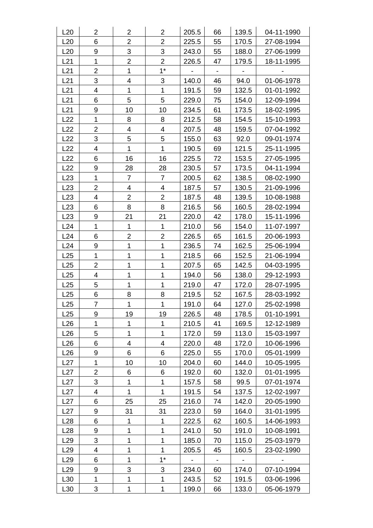| L20             | $\overline{2}$ | $\overline{2}$ | $\overline{2}$ | 205.5 | 66                       | 139.5                    | 04-11-1990 |
|-----------------|----------------|----------------|----------------|-------|--------------------------|--------------------------|------------|
| L20             | 6              | $\overline{2}$ | $\overline{2}$ | 225.5 | 55                       | 170.5                    | 27-08-1994 |
| L20             | 9              | 3              | 3              | 243.0 | 55                       | 188.0                    | 27-06-1999 |
| L21             | 1              | $\overline{2}$ | $\overline{2}$ | 226.5 | 47                       | 179.5                    | 18-11-1995 |
| L21             | $\overline{2}$ | 1              | $1^*$          |       |                          |                          |            |
| L21             | 3              | 4              | 3              | 140.0 | 46                       | 94.0                     | 01-06-1978 |
| L21             | 4              | 1              | $\mathbf 1$    | 191.5 | 59                       | 132.5                    | 01-01-1992 |
| L21             | 6              | 5              | 5              | 229.0 | 75                       | 154.0                    | 12-09-1994 |
| L21             | 9              | 10             | 10             | 234.5 | 61                       | 173.5                    | 18-02-1995 |
| L22             | $\mathbf{1}$   | 8              | 8              | 212.5 | 58                       | 154.5                    | 15-10-1993 |
| L22             | $\overline{2}$ | 4              | 4              | 207.5 | 48                       | 159.5                    | 07-04-1992 |
| L22             | 3              | 5              | 5              | 155.0 | 63                       | 92.0                     | 09-01-1974 |
| L22             | 4              | $\mathbf{1}$   | 1              | 190.5 | 69                       | 121.5                    | 25-11-1995 |
| L22             | 6              | 16             | 16             | 225.5 | 72                       | 153.5                    | 27-05-1995 |
| L22             | 9              | 28             | 28             | 230.5 | 57                       | 173.5                    | 04-11-1994 |
| L23             | 1              | $\overline{7}$ | 7              | 200.5 | 62                       | 138.5                    | 08-02-1990 |
| L23             | $\overline{2}$ | 4              | 4              | 187.5 | 57                       | 130.5                    | 21-09-1996 |
| L23             | 4              | $\overline{2}$ | $\overline{2}$ | 187.5 | 48                       | 139.5                    | 10-08-1988 |
| L23             | 6              | 8              | 8              | 216.5 | 56                       | 160.5                    | 28-02-1994 |
| L23             | 9              | 21             | 21             | 220.0 | 42                       | 178.0                    | 15-11-1996 |
| L24             | $\mathbf{1}$   | 1              | $\mathbf 1$    | 210.0 | 56                       | 154.0                    | 11-07-1997 |
| L24             | 6              | $\overline{2}$ | $\overline{2}$ | 226.5 | 65                       | 161.5                    | 20-06-1993 |
| L24             | 9              | 1              | 1              | 236.5 | 74                       | 162.5                    | 25-06-1994 |
| L25             | 1              | 1              | 1              | 218.5 | 66                       | 152.5                    | 21-06-1994 |
| L25             | $\overline{2}$ | 1              | 1              | 207.5 | 65                       | 142.5                    | 04-03-1995 |
| L25             | 4              | 1              | 1              | 194.0 | 56                       | 138.0                    | 29-12-1993 |
| L25             | 5              | 1              | $\mathbf{1}$   | 219.0 | 47                       | 172.0                    | 28-07-1995 |
| L25             | 6              | 8              | 8              | 219.5 | 52                       | 167.5                    | 28-03-1992 |
| L25             | $\overline{7}$ | 1              | $\mathbf{1}$   | 191.0 | 64                       | 127.0                    | 25-02-1998 |
| L25             | 9              | 19             | 19             | 226.5 | 48                       | 178.5                    | 01-10-1991 |
| L26             | 1              | 1              | 1              | 210.5 | 41                       | 169.5                    | 12-12-1989 |
| L26             | 5              | 1              | $\mathbf{1}$   | 172.0 | 59                       | 113.0                    | 15-03-1997 |
| L26             | 6              | 4              | 4              | 220.0 | 48                       | 172.0                    | 10-06-1996 |
| L26             | 9              | 6              | 6              | 225.0 | 55                       | 170.0                    | 05-01-1999 |
| L27             | 1              | 10             | 10             | 204.0 | 60                       | 144.0                    | 10-05-1995 |
| L27             | $\overline{2}$ | 6              | 6              | 192.0 | 60                       | 132.0                    | 01-01-1995 |
| L27             | 3              | 1              | 1              | 157.5 | 58                       | 99.5                     | 07-01-1974 |
| L27             | 4              | 1              | 1              | 191.5 | 54                       | 137.5                    | 12-02-1997 |
| L27             | 6              | 25             | 25             | 216.0 | 74                       | 142.0                    | 20-05-1990 |
| L27             | 9              | 31             | 31             | 223.0 | 59                       | 164.0                    | 31-01-1995 |
| L28             | 6              | 1              | 1              | 222.5 | 62                       | 160.5                    | 14-06-1993 |
| L <sub>28</sub> | 9              | 1              | 1              | 241.0 | 50                       | 191.0                    | 10-08-1991 |
| L <sub>29</sub> | 3              | 1              | 1              | 185.0 | 70                       | 115.0                    | 25-03-1979 |
| L <sub>29</sub> | 4              | 1              | $\mathbf{1}$   | 205.5 | 45                       | 160.5                    | 23-02-1990 |
| L <sub>29</sub> | 6              | 1              | $1^*$          | -     | $\overline{\phantom{a}}$ | $\overline{\phantom{a}}$ |            |
| L <sub>29</sub> | 9              | 3              | 3              | 234.0 | 60                       | 174.0                    | 07-10-1994 |
| L <sub>30</sub> | 1              | 1              | 1              | 243.5 | 52                       | 191.5                    | 03-06-1996 |
| L30             | 3              | 1              | 1              | 199.0 | 66                       | 133.0                    | 05-06-1979 |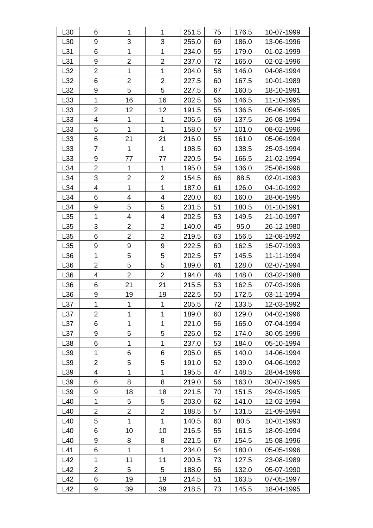| L30 | 6                        | 1                | 1                | 251.5 | 75 | 176.5 | 10-07-1999 |
|-----|--------------------------|------------------|------------------|-------|----|-------|------------|
| L30 | 9                        | 3                | 3                | 255.0 | 69 | 186.0 | 13-06-1996 |
| L31 | 6                        | 1                | 1                | 234.0 | 55 | 179.0 | 01-02-1999 |
| L31 | 9                        | $\overline{2}$   | $\overline{2}$   | 237.0 | 72 | 165.0 | 02-02-1996 |
| L32 | $\overline{2}$           | 1                | 1                | 204.0 | 58 | 146.0 | 04-08-1994 |
| L32 | 6                        | $\overline{2}$   | $\overline{2}$   | 227.5 | 60 | 167.5 | 10-01-1989 |
| L32 | $\boldsymbol{9}$         | 5                | 5                | 227.5 | 67 | 160.5 | 18-10-1991 |
| L33 | 1                        | 16               | 16               | 202.5 | 56 | 146.5 | 11-10-1995 |
| L33 | $\overline{2}$           | 12               | 12               | 191.5 | 55 | 136.5 | 05-06-1995 |
| L33 | 4                        | 1                | 1                | 206.5 | 69 | 137.5 | 26-08-1994 |
| L33 | 5                        | 1                | 1                | 158.0 | 57 | 101.0 | 08-02-1996 |
| L33 | 6                        | 21               | 21               | 216.0 | 55 | 161.0 | 05-06-1994 |
| L33 | $\overline{7}$           | $\mathbf{1}$     | 1                | 198.5 | 60 | 138.5 | 25-03-1994 |
| L33 | $\boldsymbol{9}$         | 77               | 77               | 220.5 | 54 | 166.5 | 21-02-1994 |
| L34 | $\overline{2}$           | 1                | 1                | 195.0 | 59 | 136.0 | 25-08-1996 |
| L34 | 3                        | $\overline{2}$   | $\overline{2}$   | 154.5 | 66 | 88.5  | 02-01-1983 |
| L34 | $\overline{\mathcal{A}}$ | 1                | 1                | 187.0 | 61 | 126.0 | 04-10-1992 |
| L34 | 6                        | 4                | 4                | 220.0 | 60 | 160.0 | 28-06-1995 |
| L34 | 9                        | 5                | 5                | 231.5 | 51 | 180.5 | 01-10-1991 |
| L35 | 1                        | 4                | 4                | 202.5 | 53 | 149.5 | 21-10-1997 |
| L35 | 3                        | $\overline{2}$   | $\overline{2}$   | 140.0 | 45 | 95.0  | 26-12-1980 |
| L35 | 6                        | $\overline{2}$   | $\overline{2}$   | 219.5 | 63 | 156.5 | 12-08-1992 |
| L35 | 9                        | $\boldsymbol{9}$ | $\boldsymbol{9}$ | 222.5 | 60 | 162.5 | 15-07-1993 |
| L36 | 1                        | 5                | $\mathbf 5$      | 202.5 | 57 | 145.5 | 11-11-1994 |
| L36 | $\overline{2}$           | 5                | 5                | 189.0 | 61 | 128.0 | 02-07-1994 |
| L36 | $\overline{\mathcal{A}}$ | $\overline{2}$   | $\overline{2}$   | 194.0 | 46 | 148.0 | 03-02-1988 |
| L36 | 6                        | 21               | 21               | 215.5 | 53 | 162.5 | 07-03-1996 |
| L36 | 9                        | 19               | 19               | 222.5 | 50 | 172.5 | 03-11-1994 |
| L37 | 1                        | 1                | 1                | 205.5 | 72 | 133.5 | 12-03-1992 |
| L37 | $\overline{2}$           | 1                | 1                | 189.0 | 60 | 129.0 | 04-02-1996 |
| L37 | 6                        | 1                | 1                | 221.0 | 56 | 165.0 | 07-04-1994 |
| L37 | 9                        | 5                | 5                | 226.0 | 52 | 174.0 | 30-05-1996 |
| L38 | 6                        | 1                | 1                | 237.0 | 53 | 184.0 | 05-10-1994 |
| L39 | 1                        | 6                | 6                | 205.0 | 65 | 140.0 | 14-06-1994 |
| L39 | $\overline{2}$           | 5                | 5                | 191.0 | 52 | 139.0 | 04-06-1992 |
| L39 | 4                        | 1                | 1                | 195.5 | 47 | 148.5 | 28-04-1996 |
| L39 | 6                        | 8                | 8                | 219.0 | 56 | 163.0 | 30-07-1995 |
| L39 | 9                        | 18               | 18               | 221.5 | 70 | 151.5 | 29-03-1995 |
| L40 | 1                        | 5                | 5                | 203.0 | 62 | 141.0 | 12-02-1994 |
| L40 | $\overline{2}$           | $\overline{c}$   | $\overline{2}$   | 188.5 | 57 | 131.5 | 21-09-1994 |
| L40 | 5                        | 1                | 1                | 140.5 | 60 | 80.5  | 10-01-1993 |
| L40 | 6                        | 10               | 10               | 216.5 | 55 | 161.5 | 18-09-1994 |
| L40 | 9                        | 8                | 8                | 221.5 | 67 | 154.5 | 15-08-1996 |
| L41 | 6                        | 1                | 1                | 234.0 | 54 | 180.0 | 05-05-1996 |
| L42 | 1                        | 11               | 11               | 200.5 | 73 | 127.5 | 23-08-1989 |
| L42 | $\overline{2}$           | 5                | 5                | 188.0 | 56 | 132.0 | 05-07-1990 |
| L42 | 6                        | 19               | 19               | 214.5 | 51 | 163.5 | 07-05-1997 |
| L42 | 9                        | 39               | 39               | 218.5 | 73 | 145.5 | 18-04-1995 |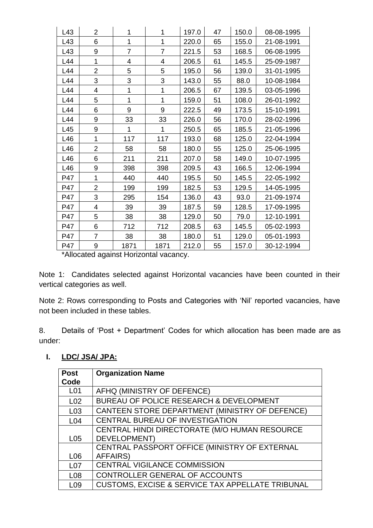| L43 | $\overline{2}$ | 1              | 1              | 197.0 | 47 | 150.0 | 08-08-1995 |
|-----|----------------|----------------|----------------|-------|----|-------|------------|
| L43 | 6              | 1              | 1              | 220.0 | 65 | 155.0 | 21-08-1991 |
| L43 | 9              | $\overline{7}$ | $\overline{7}$ | 221.5 | 53 | 168.5 | 06-08-1995 |
| L44 | 1              | 4              | 4              | 206.5 | 61 | 145.5 | 25-09-1987 |
| L44 | $\overline{2}$ | 5              | 5              | 195.0 | 56 | 139.0 | 31-01-1995 |
| L44 | 3              | 3              | 3              | 143.0 | 55 | 88.0  | 10-08-1984 |
| L44 | 4              | 1              | 1              | 206.5 | 67 | 139.5 | 03-05-1996 |
| L44 | 5              | 1              | 1              | 159.0 | 51 | 108.0 | 26-01-1992 |
| L44 | 6              | 9              | 9              | 222.5 | 49 | 173.5 | 15-10-1991 |
| L44 | 9              | 33             | 33             | 226.0 | 56 | 170.0 | 28-02-1996 |
| L45 | 9              | 1              | 1              | 250.5 | 65 | 185.5 | 21-05-1996 |
| L46 | 1              | 117            | 117            | 193.0 | 68 | 125.0 | 22-04-1994 |
| L46 | 2              | 58             | 58             | 180.0 | 55 | 125.0 | 25-06-1995 |
| L46 | 6              | 211            | 211            | 207.0 | 58 | 149.0 | 10-07-1995 |
| L46 | 9              | 398            | 398            | 209.5 | 43 | 166.5 | 12-06-1994 |
| P47 | 1              | 440            | 440            | 195.5 | 50 | 145.5 | 22-05-1992 |
| P47 | 2              | 199            | 199            | 182.5 | 53 | 129.5 | 14-05-1995 |
| P47 | 3              | 295            | 154            | 136.0 | 43 | 93.0  | 21-09-1974 |
| P47 | 4              | 39             | 39             | 187.5 | 59 | 128.5 | 17-09-1995 |
| P47 | 5              | 38             | 38             | 129.0 | 50 | 79.0  | 12-10-1991 |
| P47 | 6              | 712            | 712            | 208.5 | 63 | 145.5 | 05-02-1993 |
| P47 | $\overline{7}$ | 38             | 38             | 180.0 | 51 | 129.0 | 05-01-1993 |
| P47 | 9              | 1871           | 1871           | 212.0 | 55 | 157.0 | 30-12-1994 |

\*Allocated against Horizontal vacancy.

Note 1: Candidates selected against Horizontal vacancies have been counted in their vertical categories as well.

Note 2: Rows corresponding to Posts and Categories with 'Nil' reported vacancies, have not been included in these tables.

8. Details of 'Post + Department' Codes for which allocation has been made are as under:

## **I. LDC/ JSA/ JPA:**

| <b>Post</b>     | <b>Organization Name</b>                                    |  |  |  |
|-----------------|-------------------------------------------------------------|--|--|--|
| Code            |                                                             |  |  |  |
| L <sub>01</sub> | AFHQ (MINISTRY OF DEFENCE)                                  |  |  |  |
| L <sub>02</sub> | BUREAU OF POLICE RESEARCH & DEVELOPMENT                     |  |  |  |
| L <sub>03</sub> | CANTEEN STORE DEPARTMENT (MINISTRY OF DEFENCE)              |  |  |  |
| L <sub>04</sub> | CENTRAL BUREAU OF INVESTIGATION                             |  |  |  |
|                 | CENTRAL HINDI DIRECTORATE (M/O HUMAN RESOURCE               |  |  |  |
| L <sub>05</sub> | DEVELOPMENT)                                                |  |  |  |
|                 | CENTRAL PASSPORT OFFICE (MINISTRY OF EXTERNAL               |  |  |  |
| L <sub>06</sub> | <b>AFFAIRS</b> )                                            |  |  |  |
| L <sub>07</sub> | <b>CENTRAL VIGILANCE COMMISSION</b>                         |  |  |  |
| L <sub>08</sub> | CONTROLLER GENERAL OF ACCOUNTS                              |  |  |  |
| L <sub>09</sub> | <b>CUSTOMS, EXCISE &amp; SERVICE TAX APPELLATE TRIBUNAL</b> |  |  |  |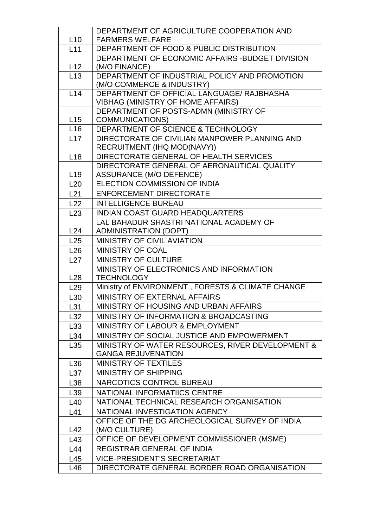|                          | DEPARTMENT OF AGRICULTURE COOPERATION AND                                           |  |  |  |  |  |
|--------------------------|-------------------------------------------------------------------------------------|--|--|--|--|--|
| L10                      | <b>FARMERS WELFARE</b>                                                              |  |  |  |  |  |
| L11                      | DEPARTMENT OF FOOD & PUBLIC DISTRIBUTION                                            |  |  |  |  |  |
|                          | DEPARTMENT OF ECONOMIC AFFAIRS - BUDGET DIVISION                                    |  |  |  |  |  |
| L12                      | (M/O FINANCE)                                                                       |  |  |  |  |  |
| L13                      | DEPARTMENT OF INDUSTRIAL POLICY AND PROMOTION<br>(M/O COMMERCE & INDUSTRY)          |  |  |  |  |  |
| L14                      | DEPARTMENT OF OFFICIAL LANGUAGE/ RAJBHASHA                                          |  |  |  |  |  |
|                          | <b>VIBHAG (MINISTRY OF HOME AFFAIRS)</b>                                            |  |  |  |  |  |
|                          | DEPARTMENT OF POSTS-ADMN (MINISTRY OF                                               |  |  |  |  |  |
| L15<br>$\overline{L}$ 16 | COMMUNICATIONS)                                                                     |  |  |  |  |  |
| L17                      | DEPARTMENT OF SCIENCE & TECHNOLOGY<br>DIRECTORATE OF CIVILIAN MANPOWER PLANNING AND |  |  |  |  |  |
|                          | RECRUITMENT (IHQ MOD(NAVY))                                                         |  |  |  |  |  |
| L18                      | DIRECTORATE GENERAL OF HEALTH SERVICES                                              |  |  |  |  |  |
|                          | DIRECTORATE GENERAL OF AERONAUTICAL QUALITY                                         |  |  |  |  |  |
| L <sub>19</sub>          | <b>ASSURANCE (M/O DEFENCE)</b>                                                      |  |  |  |  |  |
| L20                      | ELECTION COMMISSION OF INDIA                                                        |  |  |  |  |  |
| L21                      | <b>ENFORCEMENT DIRECTORATE</b>                                                      |  |  |  |  |  |
| L22                      | <b>INTELLIGENCE BUREAU</b>                                                          |  |  |  |  |  |
| L23                      | <b>INDIAN COAST GUARD HEADQUARTERS</b>                                              |  |  |  |  |  |
|                          | LAL BAHADUR SHASTRI NATIONAL ACADEMY OF                                             |  |  |  |  |  |
| L24                      | <b>ADMINISTRATION (DOPT)</b>                                                        |  |  |  |  |  |
| L25                      | <b>MINISTRY OF CIVIL AVIATION</b>                                                   |  |  |  |  |  |
| L26                      | <b>MINISTRY OF COAL</b>                                                             |  |  |  |  |  |
| L27                      | <b>MINISTRY OF CULTURE</b>                                                          |  |  |  |  |  |
|                          | MINISTRY OF ELECTRONICS AND INFORMATION                                             |  |  |  |  |  |
| L28                      | <b>TECHNOLOGY</b>                                                                   |  |  |  |  |  |
| L29                      | Ministry of ENVIRONMENT, FORESTS & CLIMATE CHANGE                                   |  |  |  |  |  |
| L <sub>30</sub>          | <b>MINISTRY OF EXTERNAL AFFAIRS</b>                                                 |  |  |  |  |  |
| L31                      | MINISTRY OF HOUSING AND URBAN AFFAIRS                                               |  |  |  |  |  |
| L32                      | MINISTRY OF INFORMATION & BROADCASTING                                              |  |  |  |  |  |
| L33                      | <b>MINISTRY OF LABOUR &amp; EMPLOYMENT</b>                                          |  |  |  |  |  |
| L34                      | MINISTRY OF SOCIAL JUSTICE AND EMPOWERMENT                                          |  |  |  |  |  |
| L <sub>35</sub>          | MINISTRY OF WATER RESOURCES, RIVER DEVELOPMENT &<br><b>GANGA REJUVENATION</b>       |  |  |  |  |  |
| L36                      | <b>MINISTRY OF TEXTILES</b>                                                         |  |  |  |  |  |
| L37                      | <b>MINISTRY OF SHIPPING</b>                                                         |  |  |  |  |  |
| L38                      |                                                                                     |  |  |  |  |  |
| L <sub>39</sub>          | <b>NARCOTICS CONTROL BUREAU</b>                                                     |  |  |  |  |  |
| L40                      | NATIONAL INFORMATIICS CENTRE                                                        |  |  |  |  |  |
| L41                      | NATIONAL TECHNICAL RESEARCH ORGANISATION<br>NATIONAL INVESTIGATION AGENCY           |  |  |  |  |  |
|                          | OFFICE OF THE DG ARCHEOLOGICAL SURVEY OF INDIA                                      |  |  |  |  |  |
| L42                      | (M/O CULTURE)                                                                       |  |  |  |  |  |
| L43                      | OFFICE OF DEVELOPMENT COMMISSIONER (MSME)                                           |  |  |  |  |  |
| L44                      | <b>REGISTRAR GENERAL OF INDIA</b>                                                   |  |  |  |  |  |
| L45                      | <b>VICE-PRESIDENT'S SECRETARIAT</b>                                                 |  |  |  |  |  |
| L46                      | DIRECTORATE GENERAL BORDER ROAD ORGANISATION                                        |  |  |  |  |  |
|                          |                                                                                     |  |  |  |  |  |